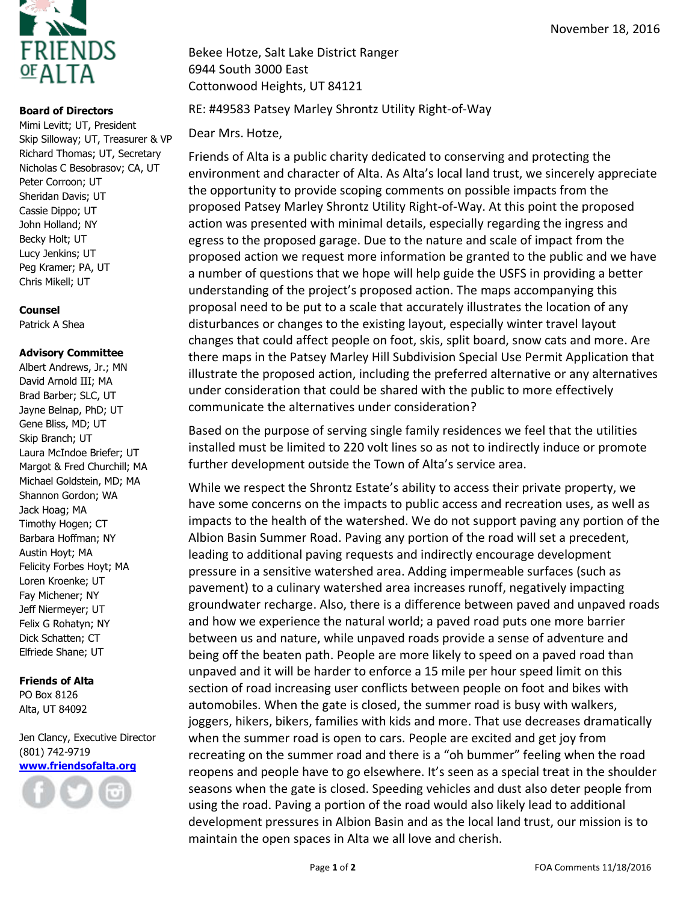

## **Board of Directors**

Mimi Levitt; UT, President Skip Silloway; UT, Treasurer & VP Richard Thomas; UT, Secretary Nicholas C Besobrasov; CA, UT Peter Corroon; UT Sheridan Davis; UT Cassie Dippo; UT John Holland; NY Becky Holt; UT Lucy Jenkins; UT Peg Kramer; PA, UT Chris Mikell; UT

## **Counsel**

Patrick A Shea

## **Advisory Committee**

Albert Andrews, Jr.; MN David Arnold III; MA Brad Barber; SLC, UT Jayne Belnap, PhD; UT Gene Bliss, MD; UT Skip Branch; UT Laura McIndoe Briefer; UT Margot & Fred Churchill; MA Michael Goldstein, MD; MA Shannon Gordon; WA Jack Hoag; MA Timothy Hogen; CT Barbara Hoffman; NY Austin Hoyt; MA Felicity Forbes Hoyt; MA Loren Kroenke; UT Fay Michener; NY Jeff Niermeyer; UT Felix G Rohatyn; NY Dick Schatten; CT Elfriede Shane; UT

## **Friends of Alta**

PO Box 8126 Alta, UT 84092

Jen Clancy, Executive Director (801) 742-9719 **[www.friendsofalta.org](http://www.friendsofalta.org/)**



Bekee Hotze, Salt Lake District Ranger 6944 South 3000 East Cottonwood Heights, UT 84121

RE: #49583 Patsey Marley Shrontz Utility Right-of-Way

Dear Mrs. Hotze,

Friends of Alta is a public charity dedicated to conserving and protecting the environment and character of Alta. As Alta's local land trust, we sincerely appreciate the opportunity to provide scoping comments on possible impacts from the proposed Patsey Marley Shrontz Utility Right-of-Way. At this point the proposed action was presented with minimal details, especially regarding the ingress and egress to the proposed garage. Due to the nature and scale of impact from the proposed action we request more information be granted to the public and we have a number of questions that we hope will help guide the USFS in providing a better understanding of the project's proposed action. The maps accompanying this proposal need to be put to a scale that accurately illustrates the location of any disturbances or changes to the existing layout, especially winter travel layout changes that could affect people on foot, skis, split board, snow cats and more. Are there maps in the Patsey Marley Hill Subdivision Special Use Permit Application that illustrate the proposed action, including the preferred alternative or any alternatives under consideration that could be shared with the public to more effectively communicate the alternatives under consideration?

Based on the purpose of serving single family residences we feel that the utilities installed must be limited to 220 volt lines so as not to indirectly induce or promote further development outside the Town of Alta's service area.

While we respect the Shrontz Estate's ability to access their private property, we have some concerns on the impacts to public access and recreation uses, as well as impacts to the health of the watershed. We do not support paving any portion of the Albion Basin Summer Road. Paving any portion of the road will set a precedent, leading to additional paving requests and indirectly encourage development pressure in a sensitive watershed area. Adding impermeable surfaces (such as pavement) to a culinary watershed area increases runoff, negatively impacting groundwater recharge. Also, there is a difference between paved and unpaved roads and how we experience the natural world; a paved road puts one more barrier between us and nature, while unpaved roads provide a sense of adventure and being off the beaten path. People are more likely to speed on a paved road than unpaved and it will be harder to enforce a 15 mile per hour speed limit on this section of road increasing user conflicts between people on foot and bikes with automobiles. When the gate is closed, the summer road is busy with walkers, joggers, hikers, bikers, families with kids and more. That use decreases dramatically when the summer road is open to cars. People are excited and get joy from recreating on the summer road and there is a "oh bummer" feeling when the road reopens and people have to go elsewhere. It's seen as a special treat in the shoulder seasons when the gate is closed. Speeding vehicles and dust also deter people from using the road. Paving a portion of the road would also likely lead to additional development pressures in Albion Basin and as the local land trust, our mission is to maintain the open spaces in Alta we all love and cherish.